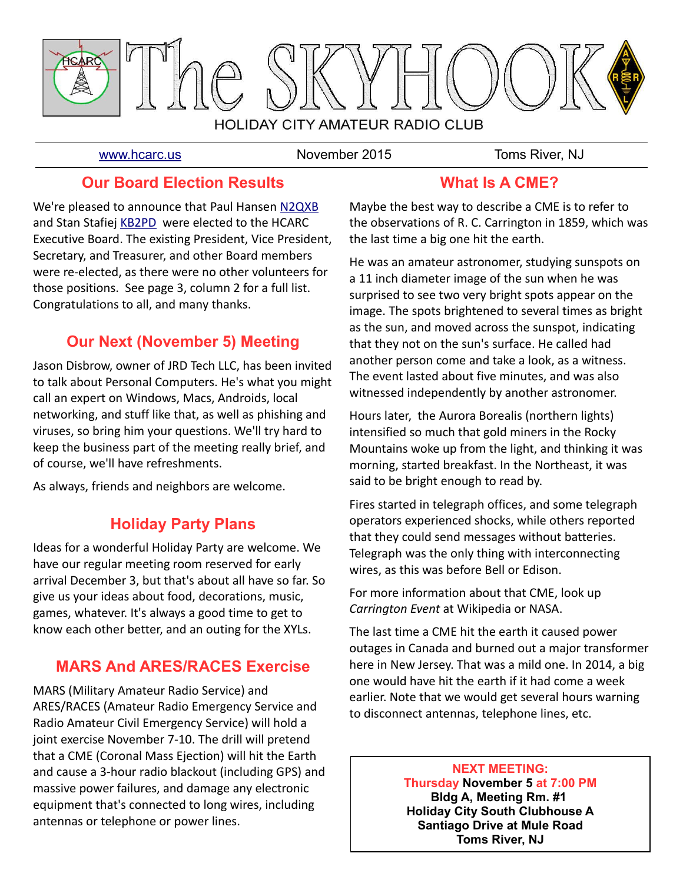

[www.hcarc.us](http://www.hcarc.us/) **November 2015** Toms River, NJ

## **Our Board Election Results**

We're pleased to announce that Paul Hansen [N2QXB](mailto:n2qxb@juno.com) and Stan Stafiej [KB2PD](mailto:kb2pd@hotmail.com) were elected to the HCARC Executive Board. The existing President, Vice President, Secretary, and Treasurer, and other Board members were re-elected, as there were no other volunteers for those positions. See page 3, column 2 for a full list. Congratulations to all, and many thanks.

# **Our Next (November 5) Meeting**

Jason Disbrow, owner of JRD Tech LLC, has been invited to talk about Personal Computers. He's what you might call an expert on Windows, Macs, Androids, local networking, and stuff like that, as well as phishing and viruses, so bring him your questions. We'll try hard to keep the business part of the meeting really brief, and of course, we'll have refreshments.

As always, friends and neighbors are welcome.

# **Holiday Party Plans**

Ideas for a wonderful Holiday Party are welcome. We have our regular meeting room reserved for early arrival December 3, but that's about all have so far. So give us your ideas about food, decorations, music, games, whatever. It's always a good time to get to know each other better, and an outing for the XYLs.

## **MARS And ARES/RACES Exercise**

MARS (Military Amateur Radio Service) and ARES/RACES (Amateur Radio Emergency Service and Radio Amateur Civil Emergency Service) will hold a joint exercise November 7-10. The drill will pretend that a CME (Coronal Mass Ejection) will hit the Earth and cause a 3-hour radio blackout (including GPS) and massive power failures, and damage any electronic equipment that's connected to long wires, including antennas or telephone or power lines.

# **What Is A CME?**

Maybe the best way to describe a CME is to refer to the observations of R. C. Carrington in 1859, which was the last time a big one hit the earth.

He was an amateur astronomer, studying sunspots on a 11 inch diameter image of the sun when he was surprised to see two very bright spots appear on the image. The spots brightened to several times as bright as the sun, and moved across the sunspot, indicating that they not on the sun's surface. He called had another person come and take a look, as a witness. The event lasted about five minutes, and was also witnessed independently by another astronomer.

Hours later, the Aurora Borealis (northern lights) intensified so much that gold miners in the Rocky Mountains woke up from the light, and thinking it was morning, started breakfast. In the Northeast, it was said to be bright enough to read by.

Fires started in telegraph offices, and some telegraph operators experienced shocks, while others reported that they could send messages without batteries. Telegraph was the only thing with interconnecting wires, as this was before Bell or Edison.

For more information about that CME, look up *Carrington Event* at Wikipedia or NASA.

The last time a CME hit the earth it caused power outages in Canada and burned out a major transformer here in New Jersey. That was a mild one. In 2014, a big one would have hit the earth if it had come a week earlier. Note that we would get several hours warning to disconnect antennas, telephone lines, etc.

> **NEXT MEETING: Thursday November 5 at 7:00 PM Bldg A, Meeting Rm. #1 Holiday City South Clubhouse A Santiago Drive at Mule Road Toms River, NJ**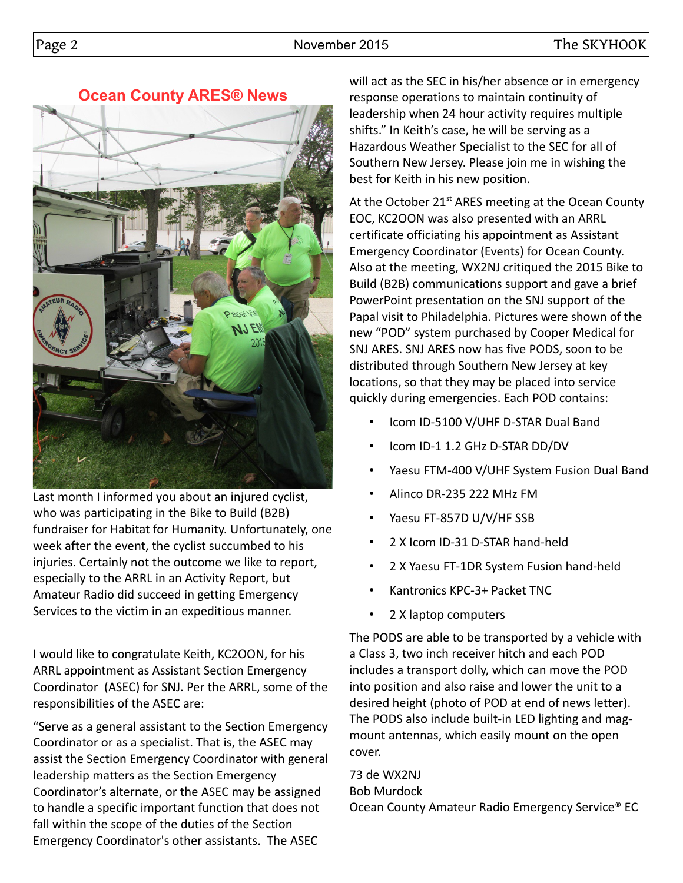**Ocean County ARES® News**



Last month I informed you about an injured cyclist, who was participating in the Bike to Build (B2B) fundraiser for Habitat for Humanity. Unfortunately, one week after the event, the cyclist succumbed to his injuries. Certainly not the outcome we like to report, especially to the ARRL in an Activity Report, but Amateur Radio did succeed in getting Emergency Services to the victim in an expeditious manner.

I would like to congratulate Keith, KC2OON, for his ARRL appointment as Assistant Section Emergency Coordinator (ASEC) for SNJ. Per the ARRL, some of the responsibilities of the ASEC are:

"Serve as a general assistant to the Section Emergency Coordinator or as a specialist. That is, the ASEC may assist the Section Emergency Coordinator with general leadership matters as the Section Emergency Coordinator's alternate, or the ASEC may be assigned to handle a specific important function that does not fall within the scope of the duties of the Section Emergency Coordinator's other assistants. The ASEC

will act as the SEC in his/her absence or in emergency response operations to maintain continuity of leadership when 24 hour activity requires multiple shifts." In Keith's case, he will be serving as a Hazardous Weather Specialist to the SEC for all of Southern New Jersey. Please join me in wishing the best for Keith in his new position.

At the October  $21<sup>st</sup>$  ARES meeting at the Ocean County EOC, KC2OON was also presented with an ARRL certificate officiating his appointment as Assistant Emergency Coordinator (Events) for Ocean County. Also at the meeting, WX2NJ critiqued the 2015 Bike to Build (B2B) communications support and gave a brief PowerPoint presentation on the SNJ support of the Papal visit to Philadelphia. Pictures were shown of the new "POD" system purchased by Cooper Medical for SNJ ARES. SNJ ARES now has five PODS, soon to be distributed through Southern New Jersey at key locations, so that they may be placed into service quickly during emergencies. Each POD contains:

- Icom ID-5100 V/UHF D-STAR Dual Band
- Icom ID-1 1.2 GHz D-STAR DD/DV
- Yaesu FTM-400 V/UHF System Fusion Dual Band
- Alinco DR-235 222 MHz FM
- Yaesu FT-857D U/V/HF SSB
- 2 X Icom ID-31 D-STAR hand-held
- 2 X Yaesu FT-1DR System Fusion hand-held
- Kantronics KPC-3+ Packet TNC
- 2 X laptop computers

The PODS are able to be transported by a vehicle with a Class 3, two inch receiver hitch and each POD includes a transport dolly, which can move the POD into position and also raise and lower the unit to a desired height (photo of POD at end of news letter). The PODS also include built-in LED lighting and magmount antennas, which easily mount on the open cover.

73 de WX2NJ Bob Murdock Ocean County Amateur Radio Emergency Service® EC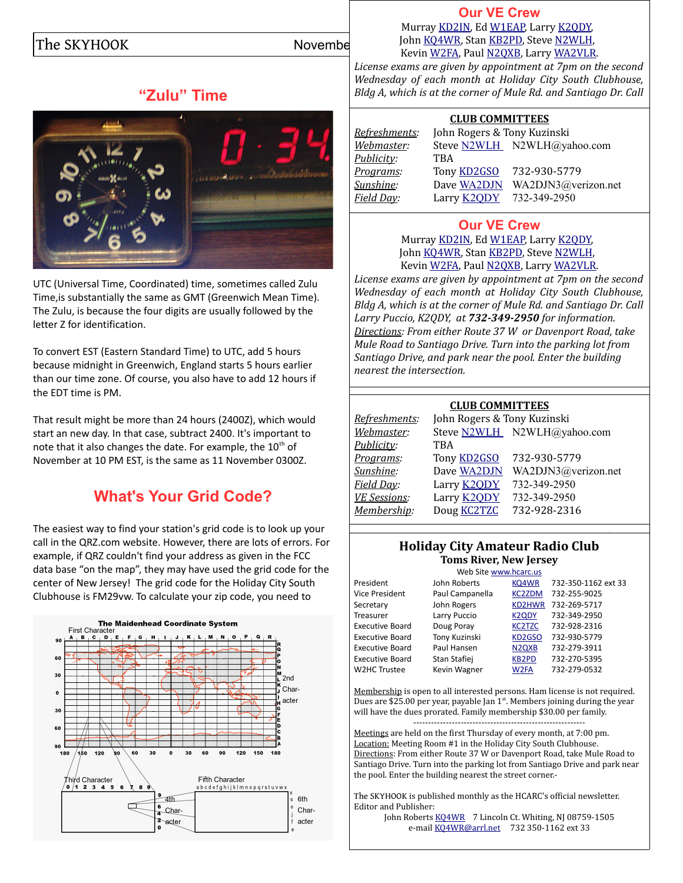# **"Zulu" Time**



UTC (Universal Time, Coordinated) time, sometimes called Zulu Time,is substantially the same as GMT (Greenwich Mean Time). The Zulu, is because the four digits are usually followed by the letter Z for identification.

To convert EST (Eastern Standard Time) to UTC, add 5 hours because midnight in Greenwich, England starts 5 hours earlier than our time zone. Of course, you also have to add 12 hours if the EDT time is PM.

That result might be more than 24 hours (2400Z), which would start an new day. In that case, subtract 2400. It's important to note that it also changes the date. For example, the  $10<sup>th</sup>$  of November at 10 PM EST, is the same as 11 November 0300Z.

# **What's Your Grid Code?**

The easiest way to find your station's grid code is to look up your call in the QRZ.com website. However, there are lots of errors. For example, if QRZ couldn't find your address as given in the FCC data base "on the map", they may have used the grid code for the center of New Jersey! The grid code for the Holiday City South Clubhouse is FM29vw. To calculate your zip code, you need to



## **[Our VE Crew](mailto:lpuccio1@comcast.net?subject=VE)**

The SKYHOOK November  $\frac{J \text{ohn KQ4WR}}{V \text{ON2PA}}$  Paul N20VB, I arry WA2VL B Murray [KD2IN,](mailto:MurrayKD2IN@comcast.net) Ed [W1EAP,](mailto:epicciuti@hotmail.com) Larry [K2QDY,](mailto:lpuccio1@comcast.net) Kevin [W2FA,](mailto:w2fa.kgw@gmail.com) Paul [N2QXB,](mailto:n2qxb@juno.com) Larry [WA2VLR.](mailto:lloscalz@optonline.net)

*License exams are given by appointment at 7pm on the second Wednesday of each month at Holiday City South Clubhouse, Bldg A, which is at the corner of Mule Rd. and Santiago Dr. Call*

### **CLUB COMMITTEES**

*Publicity:* TBA

*Refreshments:* John Rogers & Tony Kuzinski *Webmaster:* Steve [N2WLH](mailto:N2WLH@yahoo.com) N2WLH@yahoo.com *Programs:* Tony [KD2GSO](mailto:tonyk613@verizon.net) 732-930-5779 *Sunshine:* Dave [WA2DJN](mailto:wa2djn3@verizon.net) WA2DJN3@verizon.net *Field Day:* Larry [K2QDY](mailto:lpuccio1@comcast.net) 732-349-2950

### **[Our VE Crew](mailto:lpuccio1@comcast.net?subject=VE)**

Murray [KD2IN,](mailto:MurrayKD2IN@comcast.net) Ed [W1EAP,](mailto:epicciuti@hotmail.com) Larry [K2QDY,](mailto:lpuccio1@comcast.net) John [KQ4WR,](mailto:kq4wr@arrl.net) Stan [KB2PD,](mailto:kb2pd@hotmail.com) Steve [N2WLH,](mailto:n2wlh@yahoo.com) Kevin [W2FA,](mailto:w2fa.kgw@gmail.com) Paul [N2QXB,](mailto:n2qxb@juno.com) Larry [WA2VLR.](mailto:lloscalz@optonline.net)

*License exams are given by appointment at 7pm on the second Wednesday of each month at Holiday City South Clubhouse, Bldg A, which is at the corner of Mule Rd. and Santiago Dr. Call Larry Puccio, K2QDY, at 732-349-2950 for information. Directions: From either Route 37 W or Davenport Road, take Mule Road to Santiago Drive. Turn into the parking lot from Santiago Drive, and park near the pool. Enter the building nearest the intersection.*

# **CLUB COMMITTEES**

|                     | 989 9988111 1 889           |                             |  |  |  |  |  |  |
|---------------------|-----------------------------|-----------------------------|--|--|--|--|--|--|
| Refreshments:       | John Rogers & Tony Kuzinski |                             |  |  |  |  |  |  |
| Webmaster:          |                             | Steve N2WLH N2WLH@yahoo.com |  |  |  |  |  |  |
| Publicity:          | <b>TBA</b>                  |                             |  |  |  |  |  |  |
| Programs:           | Tony <b>KD2GSO</b>          | 732-930-5779                |  |  |  |  |  |  |
| Sunshine:           | Dave WA2DJN                 | WA2DJN3@verizon.net         |  |  |  |  |  |  |
| Field Day:          | Larry <b>K2QDY</b>          | 732-349-2950                |  |  |  |  |  |  |
| <b>VE Sessions:</b> | Larry <b>K2ODY</b>          | 732-349-2950                |  |  |  |  |  |  |
| Membership:         | Doug <b>KC2TZC</b>          | 732-928-2316                |  |  |  |  |  |  |
|                     |                             |                             |  |  |  |  |  |  |

#### *Directions: From either Route 37 W or Davenport Road, take Mule Road to Santiago Drive. Turn into the parking lot from*  **Holiday City Amateur Radio Club** *Santiago Drive, and park near the pool. Enter the building*  **Toms River, New Jersey**

|                        | Web Site www.hcarc.us |                                |                     |
|------------------------|-----------------------|--------------------------------|---------------------|
| President              | John Roberts          | KQ4WR                          | 732-350-1162 ext 33 |
| <b>Vice President</b>  | Paul Campanella       | <b>KC2ZDM</b>                  | 732-255-9025        |
| Secretary              | John Rogers           | KD2HWR                         | 732-269-5717        |
| Treasurer              | Larry Puccio          | <b>K2QDY</b>                   | 732-349-2950        |
| <b>Executive Board</b> | Doug Poray            | <b>KC2TZC</b>                  | 732-928-2316        |
| <b>Executive Board</b> | Tony Kuzinski         | KD2GSO                         | 732-930-5779        |
| <b>Executive Board</b> | Paul Hansen           | N <sub>2Q</sub> X <sub>B</sub> | 732-279-3911        |
| <b>Executive Board</b> | Stan Stafiej          | <b>KB2PD</b>                   | 732-270-5395        |
| W2HC Trustee           | Kevin Wagner          | W <sub>2FA</sub>               | 732-279-0532        |
|                        |                       |                                |                     |

Membership is open to all interested persons. Ham license is not required. Dues are \$25.00 per year, payable Jan 1<sup>st</sup>. Members joining during the year will have the dues prorated. Family membership \$30.00 per family.

---------------------------------------------------------- Meetings are held on the first Thursday of every month, at 7:00 pm. Location: Meeting Room #1 in the Holiday City South Clubhouse. Directions: From either Route 37 W or Davenport Road, take Mule Road to Santiago Drive. Turn into the parking lot from Santiago Drive and park near the pool. Enter the building nearest the street corner.-

The SKYHOOK is published monthly as the HCARC's official newsletter. Editor and Publisher:

John Roberts [KQ4WR](mailto:kq4wr@arrl.net) 7 Lincoln Ct. Whiting, NJ 08759-1505 e-mail [KQ4WR@arrl.net](mailto:KQ4WR@arrl.net) 732 350-1162 ext 33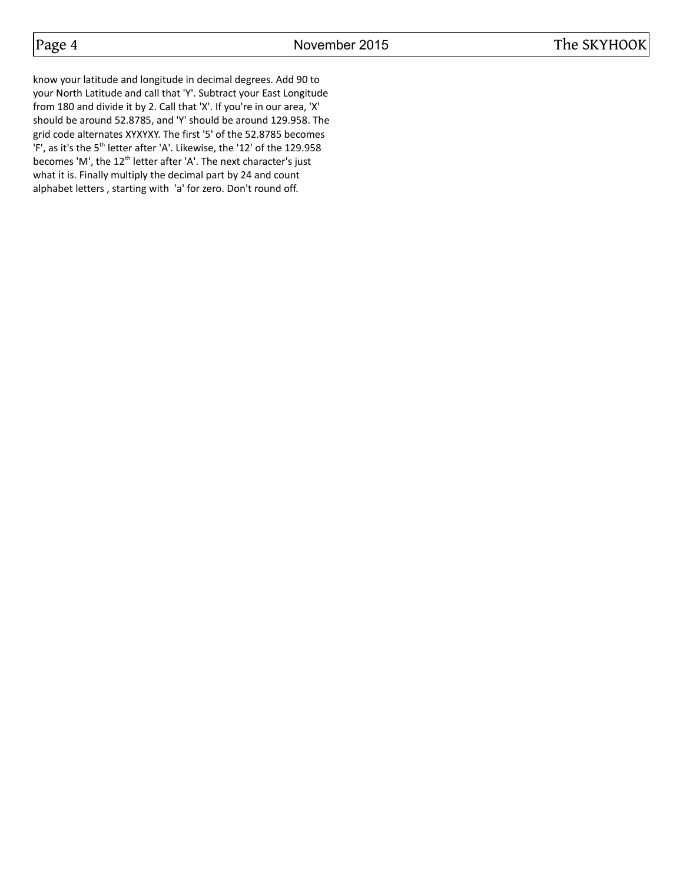know your latitude and longitude in decimal degrees. Add 90 to your North Latitude and call that 'Y'. Subtract your East Longitude from 180 and divide it by 2. Call that 'X'. If you're in our area, 'X' should be around 52.8785, and 'Y' should be around 129.958. The grid code alternates XYXYXY. The first '5' of the 52.8785 becomes 'F', as it's the 5<sup>th</sup> letter after 'A'. Likewise, the '12' of the 129.958 becomes 'M', the 12<sup>th</sup> letter after 'A'. The next character's just what it is. Finally multiply the decimal part by 24 and count alphabet letters , starting with 'a' for zero. Don't round off.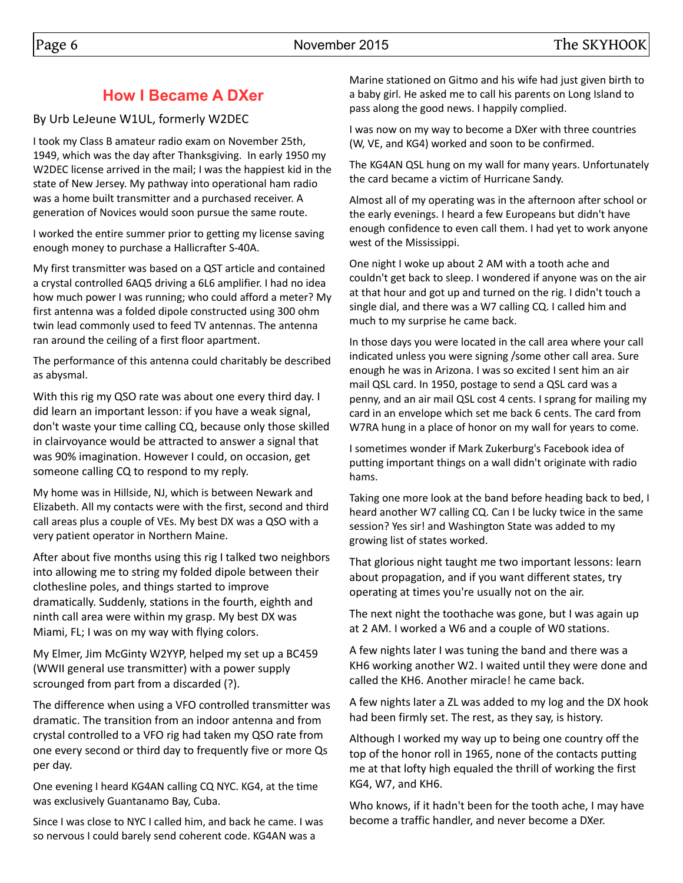# **How I Became A DXer**

By Urb LeJeune W1UL, formerly W2DEC

I took my Class B amateur radio exam on November 25th, 1949, which was the day after Thanksgiving. In early 1950 my W2DEC license arrived in the mail; I was the happiest kid in the state of New Jersey. My pathway into operational ham radio was a home built transmitter and a purchased receiver. A generation of Novices would soon pursue the same route.

I worked the entire summer prior to getting my license saving enough money to purchase a Hallicrafter S-40A.

My first transmitter was based on a QST article and contained a crystal controlled 6AQ5 driving a 6L6 amplifier. I had no idea how much power I was running; who could afford a meter? My first antenna was a folded dipole constructed using 300 ohm twin lead commonly used to feed TV antennas. The antenna ran around the ceiling of a first floor apartment.

The performance of this antenna could charitably be described as abysmal.

With this rig my QSO rate was about one every third day. I did learn an important lesson: if you have a weak signal, don't waste your time calling CQ, because only those skilled in clairvoyance would be attracted to answer a signal that was 90% imagination. However I could, on occasion, get someone calling CQ to respond to my reply.

My home was in Hillside, NJ, which is between Newark and Elizabeth. All my contacts were with the first, second and third call areas plus a couple of VEs. My best DX was a QSO with a very patient operator in Northern Maine.

After about five months using this rig I talked two neighbors into allowing me to string my folded dipole between their clothesline poles, and things started to improve dramatically. Suddenly, stations in the fourth, eighth and ninth call area were within my grasp. My best DX was Miami, FL; I was on my way with flying colors.

My Elmer, Jim McGinty W2YYP, helped my set up a BC459 (WWII general use transmitter) with a power supply scrounged from part from a discarded (?).

The difference when using a VFO controlled transmitter was dramatic. The transition from an indoor antenna and from crystal controlled to a VFO rig had taken my QSO rate from one every second or third day to frequently five or more Qs per day.

One evening I heard KG4AN calling CQ NYC. KG4, at the time was exclusively Guantanamo Bay, Cuba.

Since I was close to NYC I called him, and back he came. I was so nervous I could barely send coherent code. KG4AN was a

Marine stationed on Gitmo and his wife had just given birth to a baby girl. He asked me to call his parents on Long Island to pass along the good news. I happily complied.

I was now on my way to become a DXer with three countries (W, VE, and KG4) worked and soon to be confirmed.

The KG4AN QSL hung on my wall for many years. Unfortunately the card became a victim of Hurricane Sandy.

Almost all of my operating was in the afternoon after school or the early evenings. I heard a few Europeans but didn't have enough confidence to even call them. I had yet to work anyone west of the Mississippi.

One night I woke up about 2 AM with a tooth ache and couldn't get back to sleep. I wondered if anyone was on the air at that hour and got up and turned on the rig. I didn't touch a single dial, and there was a W7 calling CQ. I called him and much to my surprise he came back.

In those days you were located in the call area where your call indicated unless you were signing /some other call area. Sure enough he was in Arizona. I was so excited I sent him an air mail QSL card. In 1950, postage to send a QSL card was a penny, and an air mail QSL cost 4 cents. I sprang for mailing my card in an envelope which set me back 6 cents. The card from W7RA hung in a place of honor on my wall for years to come.

I sometimes wonder if Mark Zukerburg's Facebook idea of putting important things on a wall didn't originate with radio hams.

Taking one more look at the band before heading back to bed, I heard another W7 calling CQ. Can I be lucky twice in the same session? Yes sir! and Washington State was added to my growing list of states worked.

That glorious night taught me two important lessons: learn about propagation, and if you want different states, try operating at times you're usually not on the air.

The next night the toothache was gone, but I was again up at 2 AM. I worked a W6 and a couple of W0 stations.

A few nights later I was tuning the band and there was a KH6 working another W2. I waited until they were done and called the KH6. Another miracle! he came back.

A few nights later a ZL was added to my log and the DX hook had been firmly set. The rest, as they say, is history.

Although I worked my way up to being one country off the top of the honor roll in 1965, none of the contacts putting me at that lofty high equaled the thrill of working the first KG4, W7, and KH6.

Who knows, if it hadn't been for the tooth ache, I may have become a traffic handler, and never become a DXer.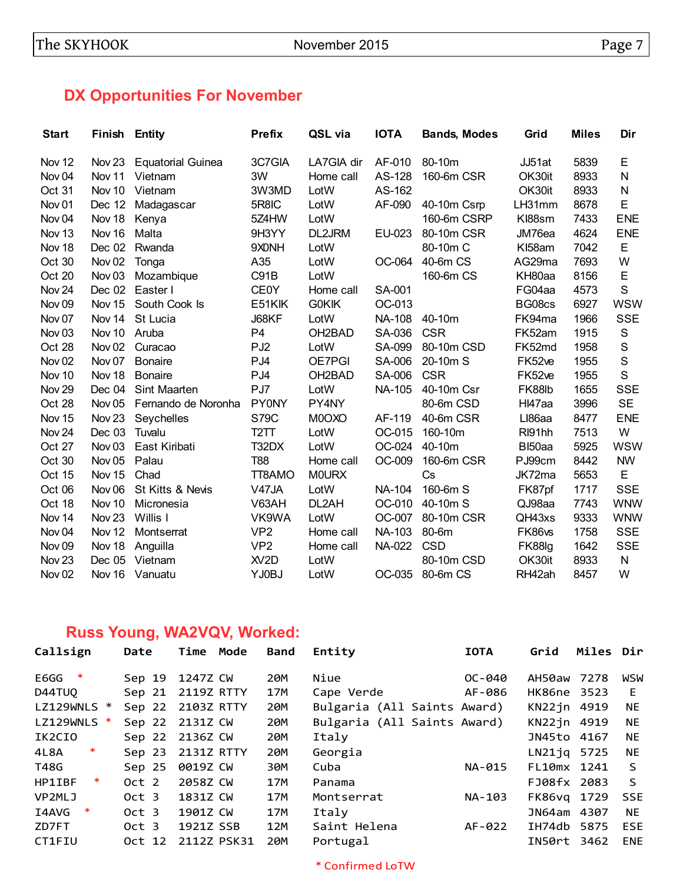# **DX Opportunities For November**

| <b>Start</b>      | <b>Finish Entity</b> |                          | <b>Prefix</b>     | QSL via             | <b>IOTA</b>   | <b>Bands, Modes</b> | Grid               | <b>Miles</b> | Dir         |
|-------------------|----------------------|--------------------------|-------------------|---------------------|---------------|---------------------|--------------------|--------------|-------------|
| Nov 12            | Nov 23               | <b>Equatorial Guinea</b> | 3C7GIA            | LA7GIA dir          | AF-010        | 80-10m              | JJ51at             | 5839         | E           |
| Nov <sub>04</sub> | Nov 11               | Vietnam                  | 3W                | Home call           | AS-128        | 160-6m CSR          | OK30it             | 8933         | N           |
| Oct 31            | Nov 10               | Vietnam                  | 3W3MD             | LotW                | AS-162        |                     | OK30it             | 8933         | N           |
| Nov <sub>01</sub> | Dec 12               | Madagascar               | 5R8IC             | LotW                | AF-090        | 40-10m Csrp         | LH31mm             | 8678         | E           |
| Nov <sub>04</sub> | Nov 18               | Kenya                    | 5Z4HW             | LotW                |               | 160-6m CSRP         | KI88sm             | 7433         | <b>ENE</b>  |
| Nov <sub>13</sub> | Nov 16               | Malta                    | 9H3YY             | DL2JRM              | EU-023        | 80-10m CSR          | JM76ea             | 4624         | <b>ENE</b>  |
| Nov 18            | Dec 02               | Rwanda                   | 9X0NH             | LotW                |               | 80-10m C            | KI58am             | 7042         | E           |
| Oct 30            | Nov <sub>02</sub>    | Tonga                    | A35               | LotW                | OC-064        | 40-6m CS            | AG29ma             | 7693         | W           |
| Oct 20            | Nov <sub>03</sub>    | Mozambique               | C91B              | LotW                |               | 160-6m CS           | KH80aa             | 8156         | E           |
| Nov <sub>24</sub> | Dec 02               | Easter I                 | <b>CE0Y</b>       | Home call           | SA-001        |                     | FG04aa             | 4573         | S           |
| Nov <sub>09</sub> | Nov 15               | South Cook Is            | E51KIK            | <b>GOKIK</b>        | OC-013        |                     | BG08cs             | 6927         | <b>WSW</b>  |
| Nov <sub>07</sub> | Nov 14               | St Lucia                 | J68KF             | LotW                | <b>NA-108</b> | 40-10m              | FK94ma             | 1966         | <b>SSE</b>  |
| Nov <sub>03</sub> | Nov 10               | Aruba                    | P <sub>4</sub>    | OH <sub>2</sub> BAD | SA-036        | <b>CSR</b>          | FK52am             | 1915         | $\mathbf S$ |
| Oct 28            | Nov <sub>02</sub>    | Curacao                  | PJ <sub>2</sub>   | LotW                | SA-099        | 80-10m CSD          | FK52md             | 1958         | $\mathbf S$ |
| Nov <sub>02</sub> | Nov <sub>07</sub>    | <b>Bonaire</b>           | PJ4               | OE7PGI              | SA-006        | 20-10m S            | FK52ve             | 1955         | $\mathsf S$ |
| Nov 10            | Nov <sub>18</sub>    | <b>Bonaire</b>           | PJ4               | OH <sub>2</sub> BAD | SA-006        | <b>CSR</b>          | FK52ve             | 1955         | S           |
| Nov <sub>29</sub> | Dec 04               | Sint Maarten             | PJ7               | LotW                | <b>NA-105</b> | 40-10m Csr          | FK88lb             | 1655         | <b>SSE</b>  |
| Oct 28            | Nov <sub>05</sub>    | Fernando de Noronha      | <b>PY0NY</b>      | PY4NY               |               | 80-6m CSD           | HI47aa             | 3996         | <b>SE</b>   |
| Nov 15            | Nov <sub>23</sub>    | Seychelles               | <b>S79C</b>       | M0OXO               | AF-119        | 40-6m CSR           | LI86aa             | 8477         | <b>ENE</b>  |
| Nov <sub>24</sub> | Dec 03               | Tuvalu                   | T <sub>2</sub> TT | LotW                | OC-015        | 160-10m             | RI91hh             | 7513         | W           |
| Oct 27            | Nov <sub>03</sub>    | East Kiribati            | T32DX             | LotW                | OC-024        | 40-10m              | BI50aa             | 5925         | <b>WSW</b>  |
| Oct 30            | Nov <sub>05</sub>    | Palau                    | <b>T88</b>        | Home call           | OC-009        | 160-6m CSR          | PJ99cm             | 8442         | <b>NW</b>   |
| Oct 15            | Nov 15               | Chad                     | TT8AMO            | <b>MOURX</b>        |               | Cs                  | JK72ma             | 5653         | E           |
| Oct 06            | Nov <sub>06</sub>    | St Kitts & Nevis         | V47JA             | LotW                | <b>NA-104</b> | 160-6m S            | FK87pf             | 1717         | <b>SSE</b>  |
| Oct 18            | Nov <sub>10</sub>    | Micronesia               | V63AH             | DL2AH               | OC-010        | 40-10m S            | QJ98aa             | 7743         | <b>WNW</b>  |
| Nov 14            | Nov <sub>23</sub>    | Willis I                 | VK9WA             | LotW                | OC-007        | 80-10m CSR          | QH43xs             | 9333         | <b>WNW</b>  |
| Nov <sub>04</sub> | Nov <sub>12</sub>    | Montserrat               | VP <sub>2</sub>   | Home call           | <b>NA-103</b> | 80-6m               | FK86 <sub>vs</sub> | 1758         | <b>SSE</b>  |
| Nov <sub>09</sub> | Nov 18               | Anguilla                 | VP <sub>2</sub>   | Home call           | NA-022        | <b>CSD</b>          | FK88lg             | 1642         | <b>SSE</b>  |
| Nov <sub>23</sub> | Dec 05               | Vietnam                  | XV <sub>2</sub> D | LotW                |               | 80-10m CSD          | OK30it             | 8933         | N           |
| Nov <sub>02</sub> | Nov 16               | Vanuatu                  | YJ0BJ             | LotW                | OC-035        | 80-6m CS            | RH42ah             | 8457         | W           |

# **Russ Young, WA2VQV, Worked:**

| Date             | Time<br>Mode | <b>Band</b>                                      | Entity       | <b>IOTA</b> | Grid                                                       | Miles Dir |                                                                                                                                                                   |
|------------------|--------------|--------------------------------------------------|--------------|-------------|------------------------------------------------------------|-----------|-------------------------------------------------------------------------------------------------------------------------------------------------------------------|
| Sep 19           | 1247Z CW     | 20M                                              | Niue         | $OC - 040$  |                                                            | 7278      | WSW                                                                                                                                                               |
| Sep 21           | 2119Z RTTY   | 17M                                              | Cape Verde   | AF-086      |                                                            |           | E                                                                                                                                                                 |
| Sep 22           |              | 20M                                              |              |             |                                                            |           | NE.                                                                                                                                                               |
|                  |              | 20M                                              |              |             |                                                            |           | <b>NE</b>                                                                                                                                                         |
|                  |              | 20M                                              | Italy        |             |                                                            |           | NE.                                                                                                                                                               |
| Sep 23           | 2131Z RTTY   | 20M                                              | Georgia      |             |                                                            |           | <b>NE</b>                                                                                                                                                         |
| Sep 25           | 0019Z CW     | 30M                                              | Cuba         | NA-015      |                                                            |           | S                                                                                                                                                                 |
| Oct 2            | 2058Z CW     | 17M                                              | Panama       |             |                                                            |           | $\mathsf{S}$                                                                                                                                                      |
| Oct 3            | 1831Z CW     | 17M                                              | Montserrat   | NA-103      |                                                            |           | <b>SSE</b>                                                                                                                                                        |
| Oct 3            | 1901Z CW     | 17M                                              | Italy        |             |                                                            | 4307      | NE.                                                                                                                                                               |
| Oct <sub>3</sub> | 1921Z SSB    | 12M                                              | Saint Helena | AF-022      |                                                            |           | <b>ESE</b>                                                                                                                                                        |
| Oct 12           |              | 20 <sub>M</sub>                                  | Portugal     |             |                                                            | -3462     | <b>ENE</b>                                                                                                                                                        |
|                  |              | 2103Z RTTY<br>Sep 22 2131Z CW<br>Sep 22 2136Z CW | 2112Z PSK31  |             | Bulgaria (All Saints Award)<br>Bulgaria (All Saints Award) |           | AH50aw<br>HK86ne 3523<br>KN22jn 4919<br>KN22jn 4919<br>JN45to 4167<br>LN21jq 5725<br>FL10mx 1241<br>FJ08fx 2083<br>FK86vg 1729<br>JN64am<br>IH74db 5875<br>IN50rt |

\* Confirmed LoTW